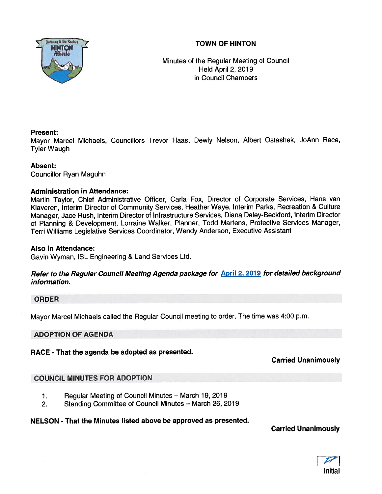# **TOWN OF HINTON**



Minutes of the Regular Meeting of Council Held April 2, 2019 in Council Chambers

## Present:

Mayor Marcel Michaels, Councillors Trevor Haas, Dewly Nelson, Albert Ostashek, JoAnn Race, Tyler Waugh

### Absent:

Councillor Ryan Maguhn

### Administration in Attendance:

Martin Taylor, Chief Administrative Officer, Carla Fox, Director of Corporate Services, Hans van Kiaveren, Interim Director of Community Services, Heather Waye, Interim Parks, Recreation & Culture Manager, Jace Rush, Interim Director of Infrastructure Services, Diana Daley-Becklord, Interim Director of Planning & Development, Lorraine Walker, Planner, Todd Martens, Protective Services Manager, Terri Williams Legislative Services Coordinator, Wendy Anderson, Executive Assistant

#### Also in Attendance:

Gavin Wyman, ISL Engineering & Land Services Ltd.

## Refer to the Regular Council Meeting Agenda package for **April 2, 2019** for detailed background information.

### ORDER

Mayor Marcel Michaels called the Regular Council meeting to order. The time was 4:00 p.m.

### ADOPTION OF AGENDA

RACE - That the agenda be adopted as presented.

# Carried Unanimously

# COUNCIL MINUTES FOR ADOPTION

- 1. Regular Meeting of Council Minutes March 19, 2019
- 2. Standing Committee of Council Minutes March 26, 2019

### NELSON - That the Minutes listed above be approved as presented.

Carried Unanimously

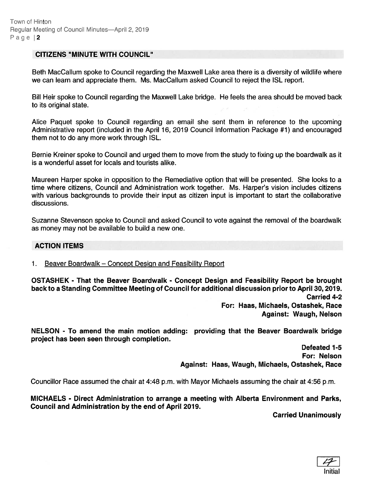#### CITIZENS "MINUTE WITH COUNCIL"

Beth MacCallum spoke to Council regarding the Maxwell Lake area there is <sup>a</sup> diversity of wildlife where we can learn and appreciate them. Ms. MacCallum asked Council to reject the ISL report.

Bill Heir spoke to Council regarding the Maxwell Lake bridge. He feels the area should be moved back to its original state.

Alice Paquet spoke to Council regarding an email she sent them in reference to the upcoming Administrative repor<sup>t</sup> (included in the April 16, 2019 Council Information Package #1) and encouraged them not to do any more work through ISL.

Bernie Kreiner spoke to Council and urged them to move from the study to fixing up the boardwalk as it is <sup>a</sup> wonderful asset for locals and tourists alike.

Maureen Harper spoke in opposition to the Remediative option that will be presented. She looks to <sup>a</sup> time where citizens, Council and Administration work together. Ms. Harper's vision includes citizens with various backgrounds to provide their input as citizen input is important to start the collaborative discussions.

Suzanne Stevenson spoke to Council and asked Council to vote against the removal of the boardwalk as money may not be available to build <sup>a</sup> new one.

ACTION ITEMS

1. <u>Beaver Boardwalk – Concept Design and Feasibility Report</u>

OSTASHEK - That the Beaver Boardwalk - Concept Design and Feasibility Report be brought back to <sup>a</sup> Standing Committee Meeting of Council for additional discussion prior to April 30, 2019. Carried 4-2 For: Haas, Michaels, Ostashek, Race Against: Waugh, Nelson

NELSON - To amend the main motion adding: providing that the Beaver Boardwalk bridge project has been seen through completion.

> Defeated 1-5 For: Nelson Against: Haas, Waugh, Michaels, Ostashek, Race

Councillor Race assumed the chair at 4:48 p.m. with Mayor Michaels assuming the chair at 4:56 p.m.

MICHAELS - Direct Administration to arrange <sup>a</sup> meeting with Alberta Environment and Parks, Council and Administration by the end of April 2019.

Carried Unanimously

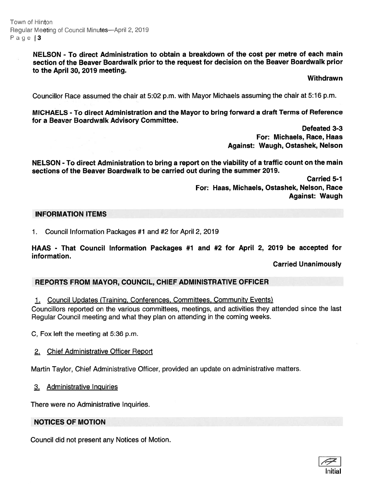Town of Hinton Regular Meeting of Council Minutes—April 2, 2019 Page  $|3|$ 

#### NELSON - To direct Administration to obtain <sup>a</sup> breakdown of the cost per metre of each main section of the Beaver Boardwalk prior to the reques<sup>t</sup> for decision on the Beaver Boardwalk prior to the April 30, 2019 meeting.

#### Withdrawn

Councillor Race assumed the chair at 5:02 p.m. with Mayor Michaels assuming the chair at 5:16 p.m.

MICHAELS - To direct Administration and the Mayor to bring forward <sup>a</sup> draft Terms of Reference for <sup>a</sup> Beaver Boardwalk Advisory Committee.

> Defeated 3-3 For: Michaels, Race, Haas Against: Waugh, Ostashek, Nelson

NELSON - To direct Administration to bring <sup>a</sup> repor<sup>t</sup> on the viability of <sup>a</sup> traffic count on the main sections of the Beaver Boardwalk to be carried out during the summer 2019.

> Carried 5-1 For: Haas, Michaels, Ostashek, Nelson, Race Against: Waugh

#### INFORMATION ITEMS

1. Council Information Packages #1 and #2 for April 2, 2019

HAAS - That Council Information Packages #1 and #2 for April 2, 2019 be accepted for information.

### Carried Unanimously

### REPORTS FROM MAYOR, COUNCIL, CHIEF ADMINISTRATIVE OFFICER

1. Council Updates (Training, Conferences, Committees, Community Events)

Councillors reported on the various committees, meetings, and activities they attended since the last Regular Council meeting and what they plan on attending in the coming weeks.

C, Fox left the meeting at 5:36 p.m.

### 2. Chief Administrative Officer Report

Martin Taylor, Chief Administrative Officer, provided an update on administrative matters.

3. Administrative Inguiries

There were no Administrative Inquiries.

#### NOTICES OF MOTION

Council did not presen<sup>t</sup> any Notices of Motion.